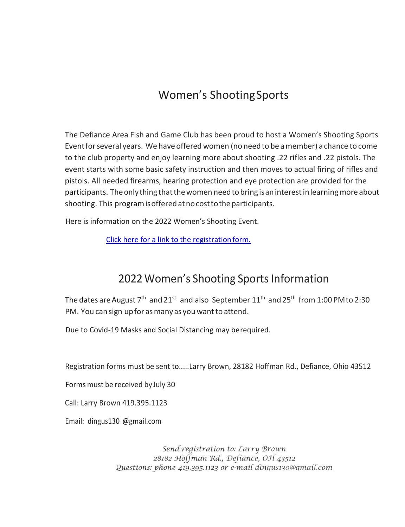## Women's ShootingSports

The Defiance Area Fish and Game Club has been proud to host a Women's Shooting Sports Eventforseveral years. We haveoffered women (no needto be amember) achance to come to the club property and enjoy learning more about shooting .22 rifles and .22 pistols. The event starts with some basic safety instruction and then moves to actual firing of rifles and pistols. All needed firearms, hearing protection and eye protection are provided for the participants. The only thing that the women need to bring is an interest in learning more about shooting. This program is offered at no cost to the participants.

Here is information on the 2022 Women's Shooting Event.

[Click here for a link to](https://defiancefishandgame.com/images/clubdocs/womens_days_2022.pdf) the registration form.

## 2022 Women's Shooting Sports Information

The dates are August 7<sup>th</sup> and 21<sup>st</sup> and also September 11<sup>th</sup> and 25<sup>th</sup> from 1:00 PM to 2:30 PM. You can sign up for as many as you want to attend.

Due to Covid-19 Masks and Social Distancing may berequired.

Registration forms must be sent to.....Larry Brown, 28182 Hoffman Rd., Defiance, Ohio 43512

Forms must be received byJuly 30

Call: Larry Brown 419.395.1123

Email: dingus130 @gmaiI.com

Send registration to: Larry Brown 28182 Hoffman Rd., Defiance, OH 43512 Questions: phone 419.395.1123 or e-mail dingus130@gmail.com